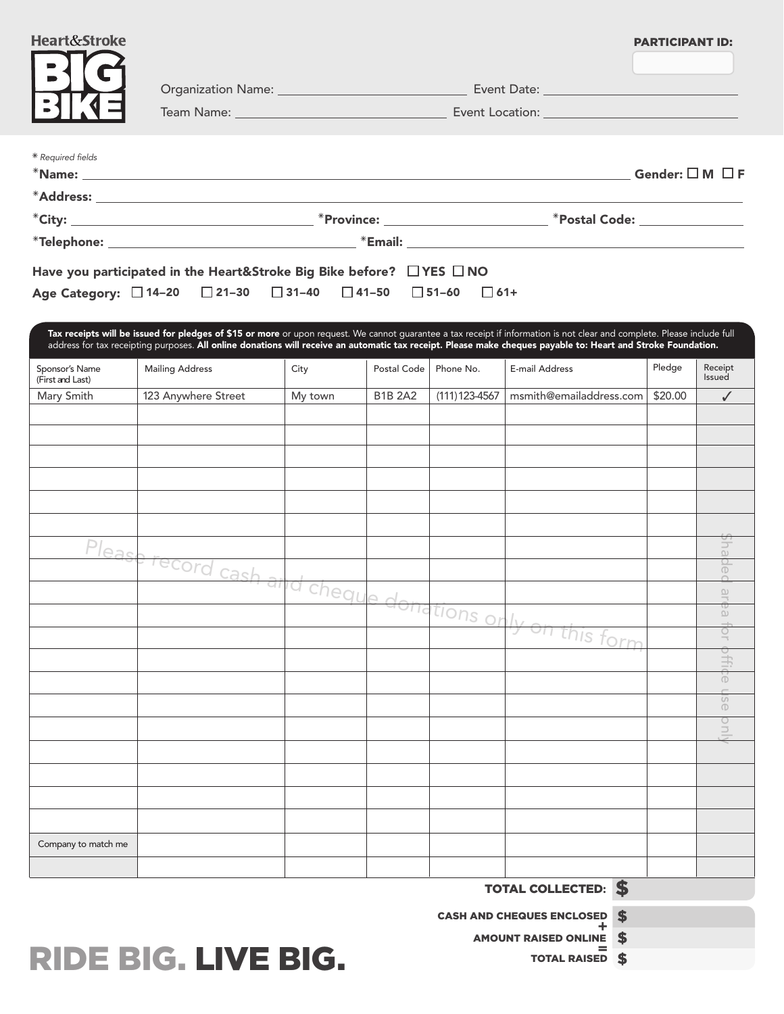| Heart&Stroke                                                                                                                                                                                                                                                                                                                                                                                                                                                                                                                 |                                                           |         |                |                  |                         | <b>PARTICIPANT ID:</b> |                                 |  |
|------------------------------------------------------------------------------------------------------------------------------------------------------------------------------------------------------------------------------------------------------------------------------------------------------------------------------------------------------------------------------------------------------------------------------------------------------------------------------------------------------------------------------|-----------------------------------------------------------|---------|----------------|------------------|-------------------------|------------------------|---------------------------------|--|
| * Required fields                                                                                                                                                                                                                                                                                                                                                                                                                                                                                                            |                                                           |         |                |                  |                         |                        | Gender: $\square$ M $\square$ F |  |
|                                                                                                                                                                                                                                                                                                                                                                                                                                                                                                                              |                                                           |         |                |                  |                         |                        |                                 |  |
|                                                                                                                                                                                                                                                                                                                                                                                                                                                                                                                              |                                                           |         |                |                  |                         |                        |                                 |  |
| Have you participated in the Heart&Stroke Big Bike before? $\Box$ YES $\Box$ NO<br>$\Box$ 21-30 $\Box$ 31-40 $\Box$ 41-50 $\Box$ 51-60 $\Box$ 61+<br>Age Category: $\Box$ 14-20<br>Tax receipts will be issued for pledges of \$15 or more or upon request. We cannot guarantee a tax receipt if information is not clear and complete. Please include full<br>address for tax receipting purposes. All online donations will receive an automatic tax receipt. Please make cheques payable to: Heart and Stroke Foundation. |                                                           |         |                |                  |                         |                        |                                 |  |
| Sponsor's Name<br>(First and Last)                                                                                                                                                                                                                                                                                                                                                                                                                                                                                           | <b>Mailing Address</b>                                    | City    | Postal Code    | Phone No.        | E-mail Address          | Pledge                 | Receipt<br><b>Issued</b>        |  |
| Mary Smith                                                                                                                                                                                                                                                                                                                                                                                                                                                                                                                   | 123 Anywhere Street                                       | My town | <b>B1B 2A2</b> | $(111)$ 123-4567 | msmith@emailaddress.com | \$20.00                | ✓                               |  |
|                                                                                                                                                                                                                                                                                                                                                                                                                                                                                                                              |                                                           |         |                |                  |                         |                        |                                 |  |
|                                                                                                                                                                                                                                                                                                                                                                                                                                                                                                                              |                                                           |         |                |                  |                         |                        |                                 |  |
|                                                                                                                                                                                                                                                                                                                                                                                                                                                                                                                              |                                                           |         |                |                  |                         |                        |                                 |  |
|                                                                                                                                                                                                                                                                                                                                                                                                                                                                                                                              |                                                           |         |                |                  |                         |                        |                                 |  |
|                                                                                                                                                                                                                                                                                                                                                                                                                                                                                                                              |                                                           |         |                |                  |                         |                        |                                 |  |
|                                                                                                                                                                                                                                                                                                                                                                                                                                                                                                                              | Please record cash and cheque donations only on this form |         |                |                  |                         |                        | Shade <sub>o</sub>              |  |
|                                                                                                                                                                                                                                                                                                                                                                                                                                                                                                                              |                                                           |         |                |                  |                         |                        | $\circ$<br>$\Omega$             |  |
|                                                                                                                                                                                                                                                                                                                                                                                                                                                                                                                              |                                                           |         |                |                  |                         |                        | e⊕                              |  |
|                                                                                                                                                                                                                                                                                                                                                                                                                                                                                                                              |                                                           |         |                |                  |                         |                        | $rac{1}{2}$                     |  |
|                                                                                                                                                                                                                                                                                                                                                                                                                                                                                                                              |                                                           |         |                |                  |                         |                        | office                          |  |
|                                                                                                                                                                                                                                                                                                                                                                                                                                                                                                                              |                                                           |         |                |                  |                         |                        | əsr                             |  |
|                                                                                                                                                                                                                                                                                                                                                                                                                                                                                                                              |                                                           |         |                |                  |                         |                        | $\frac{1}{2}$                   |  |
|                                                                                                                                                                                                                                                                                                                                                                                                                                                                                                                              |                                                           |         |                |                  |                         |                        |                                 |  |
|                                                                                                                                                                                                                                                                                                                                                                                                                                                                                                                              |                                                           |         |                |                  |                         |                        |                                 |  |
|                                                                                                                                                                                                                                                                                                                                                                                                                                                                                                                              |                                                           |         |                |                  |                         |                        |                                 |  |
|                                                                                                                                                                                                                                                                                                                                                                                                                                                                                                                              |                                                           |         |                |                  |                         |                        |                                 |  |
| Company to match me                                                                                                                                                                                                                                                                                                                                                                                                                                                                                                          |                                                           |         |                |                  |                         |                        |                                 |  |
|                                                                                                                                                                                                                                                                                                                                                                                                                                                                                                                              |                                                           |         |                |                  |                         |                        |                                 |  |

TOTAL COLLECTED: \$

CASH AND CHEQUES ENCLOSED \$

AMOUNT RAISED ONLINE \$

TOTAL RAISED \$